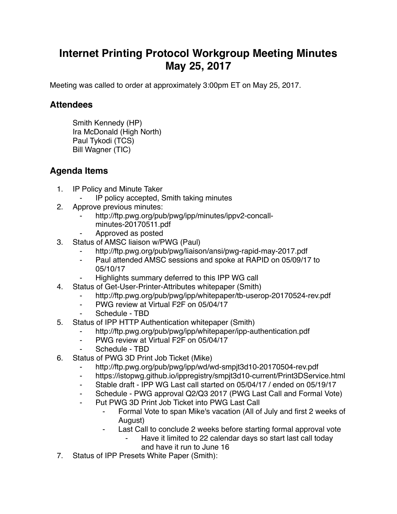## **Internet Printing Protocol Workgroup Meeting Minutes May 25, 2017**

Meeting was called to order at approximately 3:00pm ET on May 25, 2017.

## **Attendees**

Smith Kennedy (HP) Ira McDonald (High North) Paul Tykodi (TCS) Bill Wagner (TIC)

## **Agenda Items**

- 1. IP Policy and Minute Taker
	- IP policy accepted, Smith taking minutes
- 2. Approve previous minutes:
	- http://ftp.pwg.org/pub/pwg/ipp/minutes/ippv2-concall
		- minutes-20170511.pdf
	- ⁃ Approved as posted
- 3. Status of AMSC liaison w/PWG (Paul)
	- http://ftp.pwg.org/pub/pwg/liaison/ansi/pwg-rapid-may-2017.pdf
	- Paul attended AMSC sessions and spoke at RAPID on 05/09/17 to 05/10/17
	- Highlights summary deferred to this IPP WG call
- 4. Status of Get-User-Printer-Attributes whitepaper (Smith)
	- http://ftp.pwg.org/pub/pwg/ipp/whitepaper/tb-userop-20170524-rev.pdf
	- ⁃ PWG review at Virtual F2F on 05/04/17
	- Schedule TBD
- 5. Status of IPP HTTP Authentication whitepaper (Smith)
	- http://ftp.pwg.org/pub/pwg/ipp/whitepaper/ipp-authentication.pdf
	- ⁃ PWG review at Virtual F2F on 05/04/17
	- Schedule TBD
- 6. Status of PWG 3D Print Job Ticket (Mike)
	- http://ftp.pwg.org/pub/pwg/ipp/wd/wd-smpjt3d10-20170504-rev.pdf
	- ⁃ https://istopwg.github.io/ippregistry/smpjt3d10-current/Print3DService.html
	- ⁃ Stable draft IPP WG Last call started on 05/04/17 / ended on 05/19/17
	- Schedule PWG approval Q2/Q3 2017 (PWG Last Call and Formal Vote)
	- ⁃ Put PWG 3D Print Job Ticket into PWG Last Call
		- Formal Vote to span Mike's vacation (All of July and first 2 weeks of August)
		- ⁃ Last Call to conclude 2 weeks before starting formal approval vote
			- Have it limited to 22 calendar days so start last call today and have it run to June 16
- 7. Status of IPP Presets White Paper (Smith):